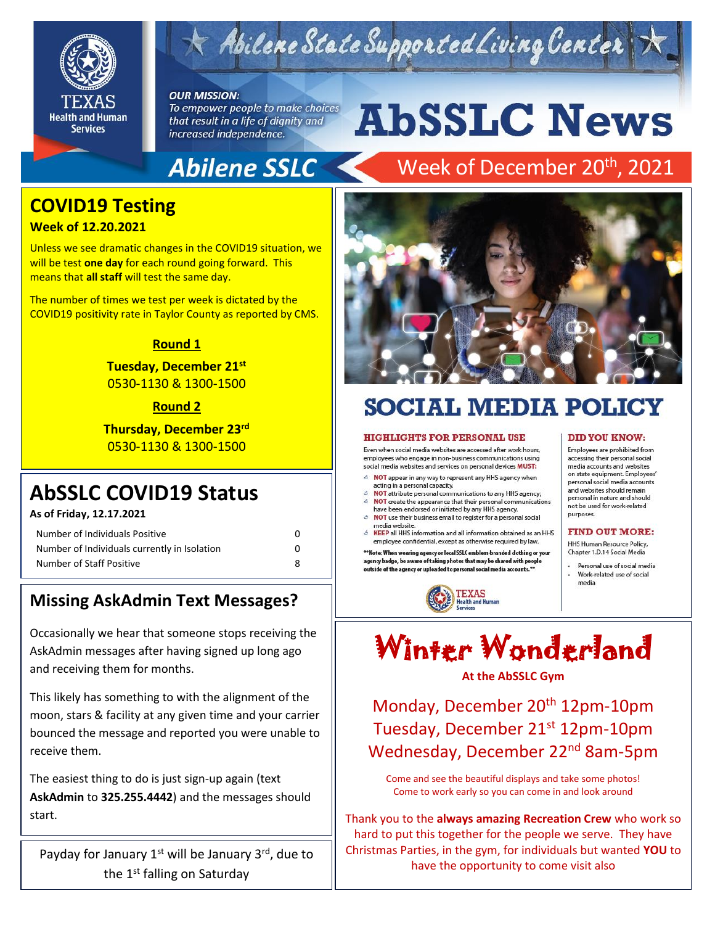

# Abilene State Supported Living Center

#### **OUR MISSION:**

To empower people to make choices that result in a life of dignity and increased independence.

# **AbSSLC News**

## **Abilene SSLC**

## Week of December 20<sup>th</sup>, 2021

## **COVID19 Testing**

## **Week of 12.20.2021**

Unless we see dramatic changes in the COVID19 situation, we will be test **one day** for each round going forward. This means that **all staff** will test the same day.

The number of times we test per week is dictated by the COVID19 positivity rate in Taylor County as reported by CMS.

## **Round 1**

**Tuesday, December 21st**  0530-1130 & 1300-1500

### **Round 2**

**Thursday, December 23rd** 0530-1130 & 1300-1500

## **AbSSLC COVID19 Status**

**As of Friday, 12.17.2021**

| Number of Individuals Positive               | 0 |
|----------------------------------------------|---|
| Number of Individuals currently in Isolation | n |
| Number of Staff Positive                     | 8 |

## **Missing AskAdmin Text Messages?**

Occasionally we hear that someone stops receiving the AskAdmin messages after having signed up long ago and receiving them for months.

This likely has something to with the alignment of the moon, stars & facility at any given time and your carrier bounced the message and reported you were unable to receive them.

The easiest thing to do is just sign-up again (text **AskAdmin** to **325.255.4442**) and the messages should start.

Payday for January  $1<sup>st</sup>$  will be January  $3<sup>rd</sup>$ , due to the 1<sup>st</sup> falling on Saturday



# **SOCIAL MEDIA POLICY**

#### **HIGHLIGHTS FOR PERSONAL USE**

Even when social media websites are accessed after work hours, employees who engage in non-business communications using social media websites and services on personal devices MUST:

- & NOT appear in any way to represent any HHS agency when acting in a personal capacity.
- NOT attribute personal communications to any HHS agency;
- NOT create the appearance that their personal communications<br>have been endorsed or initiated by any HHS agency. 6 NOT use their business email to register for a personal social
- media website.
- 6 KEEP all HHS information and all information obtained as an HHS employee confidential, except as otherwise required by law.

\*\*Note: When wearing agency or local SSLC emblem-branded dothing or your agency badge, be aware of taking photos that may be shared with people outside of the agency or uploaded to personal social media accounts.<sup>\*</sup>



#### **DID YOU KNOW:**

Employees are prohibited from<br>accessing their personal social<br>media accounts and websites<br>on state equipment. Employees personal social media accounts and websites should remain personal in nature and should not be used for work-related purposes.

#### **FIND OUT MORE:**

HHS Human Resource Policy, Chapter 1.D.14 Social Media

Personal use of social media Work-related use of social media



### **At the AbSSLC Gym**

Monday, December 20<sup>th</sup> 12pm-10pm Tuesday, December 21st 12pm-10pm Wednesday, December 22nd 8am-5pm

Come and see the beautiful displays and take some photos! Come to work early so you can come in and look around

Thank you to the **always amazing Recreation Crew** who work so hard to put this together for the people we serve. They have Christmas Parties, in the gym, for individuals but wanted **YOU** to have the opportunity to come visit also